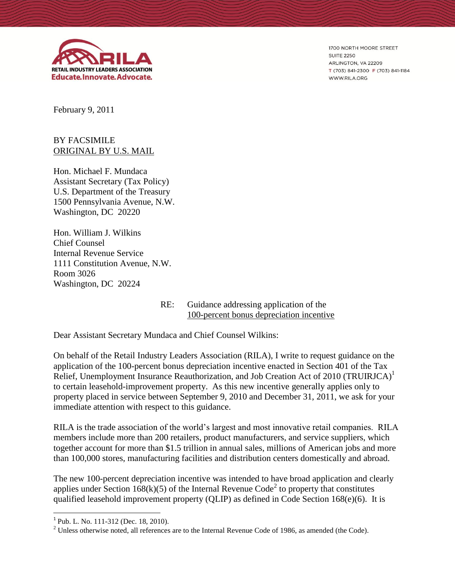

1700 NORTH MOORE STREET **SUITE 2250** ARLINGTON, VA 22209 T (703) 841-2300 F (703) 841-1184 WWW.RILA.ORG

February 9, 2011

## BY FACSIMILE ORIGINAL BY U.S. MAIL

Hon. Michael F. Mundaca Assistant Secretary (Tax Policy) U.S. Department of the Treasury 1500 Pennsylvania Avenue, N.W. Washington, DC 20220

Hon. William J. Wilkins Chief Counsel Internal Revenue Service 1111 Constitution Avenue, N.W. Room 3026 Washington, DC 20224

> RE: Guidance addressing application of the 100-percent bonus depreciation incentive

Dear Assistant Secretary Mundaca and Chief Counsel Wilkins:

On behalf of the Retail Industry Leaders Association (RILA), I write to request guidance on the application of the 100-percent bonus depreciation incentive enacted in Section 401 of the Tax Relief, Unemployment Insurance Reauthorization, and Job Creation Act of 2010 (TRUIRJCA)<sup>1</sup> to certain leasehold-improvement property. As this new incentive generally applies only to property placed in service between September 9, 2010 and December 31, 2011, we ask for your immediate attention with respect to this guidance.

RILA is the trade association of the world's largest and most innovative retail companies. RILA members include more than 200 retailers, product manufacturers, and service suppliers, which together account for more than \$1.5 trillion in annual sales, millions of American jobs and more than 100,000 stores, manufacturing facilities and distribution centers domestically and abroad.

The new 100-percent depreciation incentive was intended to have broad application and clearly applies under Section  $168(k)(5)$  of the Internal Revenue Code<sup>2</sup> to property that constitutes qualified leasehold improvement property (QLIP) as defined in Code Section 168(e)(6). It is

l

<sup>&</sup>lt;sup>1</sup> Pub. L. No. 111-312 (Dec. 18, 2010).

 $2$  Unless otherwise noted, all references are to the Internal Revenue Code of 1986, as amended (the Code).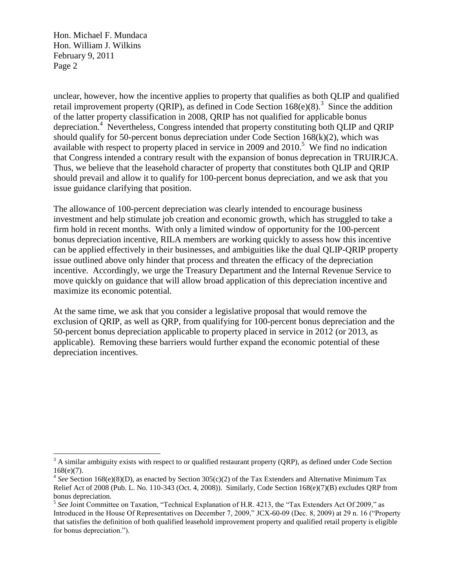Hon. Michael F. Mundaca Hon. William J. Wilkins February 9, 2011 Page 2

 $\overline{\phantom{a}}$ 

unclear, however, how the incentive applies to property that qualifies as both QLIP and qualified retail improvement property (QRIP), as defined in Code Section  $168(e)(8)$ .<sup>3</sup> Since the addition of the latter property classification in 2008, QRIP has not qualified for applicable bonus depreciation.<sup>4</sup> Nevertheless, Congress intended that property constituting both QLIP and QRIP should qualify for 50-percent bonus depreciation under Code Section  $168(k)(2)$ , which was available with respect to property placed in service in 2009 and  $2010$ .<sup>5</sup> We find no indication that Congress intended a contrary result with the expansion of bonus deprecation in TRUIRJCA. Thus, we believe that the leasehold character of property that constitutes both QLIP and QRIP should prevail and allow it to qualify for 100-percent bonus depreciation, and we ask that you issue guidance clarifying that position.

The allowance of 100-percent depreciation was clearly intended to encourage business investment and help stimulate job creation and economic growth, which has struggled to take a firm hold in recent months. With only a limited window of opportunity for the 100-percent bonus depreciation incentive, RILA members are working quickly to assess how this incentive can be applied effectively in their businesses, and ambiguities like the dual QLIP-QRIP property issue outlined above only hinder that process and threaten the efficacy of the depreciation incentive. Accordingly, we urge the Treasury Department and the Internal Revenue Service to move quickly on guidance that will allow broad application of this depreciation incentive and maximize its economic potential.

At the same time, we ask that you consider a legislative proposal that would remove the exclusion of QRIP, as well as QRP, from qualifying for 100-percent bonus depreciation and the 50-percent bonus depreciation applicable to property placed in service in 2012 (or 2013, as applicable). Removing these barriers would further expand the economic potential of these depreciation incentives.

 $3$  A similar ambiguity exists with respect to or qualified restaurant property (QRP), as defined under Code Section 168(e)(7).

<sup>&</sup>lt;sup>4</sup> See Section 168(e)(8)(D), as enacted by Section 305(c)(2) of the Tax Extenders and Alternative Minimum Tax Relief Act of 2008 (Pub. L. No. 110-343 (Oct. 4, 2008)). Similarly, Code Section 168(e)(7)(B) excludes QRP from bonus depreciation.

<sup>&</sup>lt;sup>5</sup> See Joint Committee on Taxation, "Technical Explanation of H.R. 4213, the "Tax Extenders Act Of 2009," as Introduced in the House Of Representatives on December 7, 2009," JCX-60-09 (Dec. 8, 2009) at 29 n. 16 ("Property that satisfies the definition of both qualified leasehold improvement property and qualified retail property is eligible for bonus depreciation.").